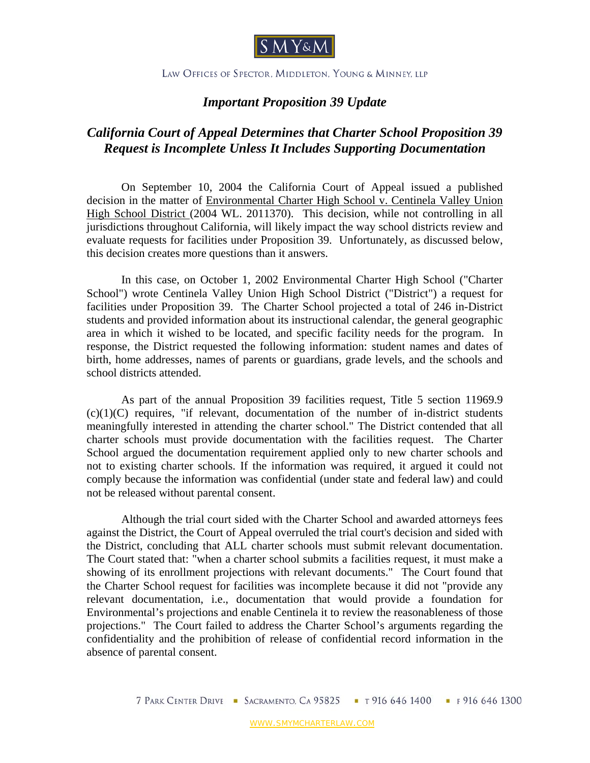

## LAW OFFICES OF SPECTOR, MIDDLETON, YOUNG & MINNEY, LLP

## *Important Proposition 39 Update*

## *California Court of Appeal Determines that Charter School Proposition 39 Request is Incomplete Unless It Includes Supporting Documentation*

On September 10, 2004 the California Court of Appeal issued a published decision in the matter of Environmental Charter High School v. Centinela Valley Union High School District (2004 WL. 2011370). This decision, while not controlling in all jurisdictions throughout California, will likely impact the way school districts review and evaluate requests for facilities under Proposition 39. Unfortunately, as discussed below, this decision creates more questions than it answers.

 In this case, on October 1, 2002 Environmental Charter High School ("Charter School") wrote Centinela Valley Union High School District ("District") a request for facilities under Proposition 39. The Charter School projected a total of 246 in-District students and provided information about its instructional calendar, the general geographic area in which it wished to be located, and specific facility needs for the program. In response, the District requested the following information: student names and dates of birth, home addresses, names of parents or guardians, grade levels, and the schools and school districts attended.

 As part of the annual Proposition 39 facilities request, Title 5 section 11969.9  $(c)(1)(C)$  requires, "if relevant, documentation of the number of in-district students meaningfully interested in attending the charter school." The District contended that all charter schools must provide documentation with the facilities request. The Charter School argued the documentation requirement applied only to new charter schools and not to existing charter schools. If the information was required, it argued it could not comply because the information was confidential (under state and federal law) and could not be released without parental consent.

 Although the trial court sided with the Charter School and awarded attorneys fees against the District, the Court of Appeal overruled the trial court's decision and sided with the District, concluding that ALL charter schools must submit relevant documentation. The Court stated that: "when a charter school submits a facilities request, it must make a showing of its enrollment projections with relevant documents." The Court found that the Charter School request for facilities was incomplete because it did not "provide any relevant documentation, i.e., documentation that would provide a foundation for Environmental's projections and enable Centinela it to review the reasonableness of those projections." The Court failed to address the Charter School's arguments regarding the confidentiality and the prohibition of release of confidential record information in the absence of parental consent.